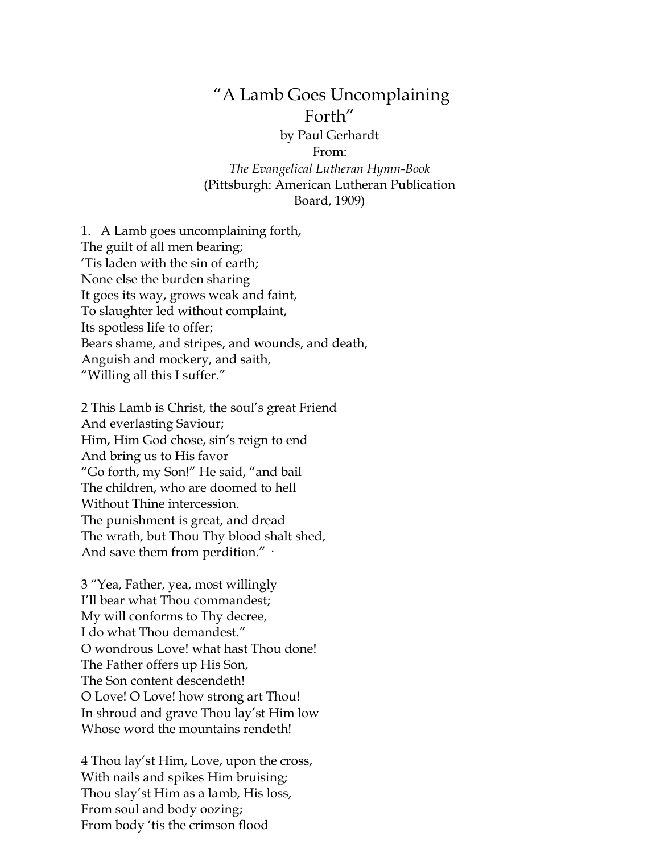## "A Lamb Goes Uncomplaining Forth"

by Paul Gerhardt From: *The Evangelical Lutheran Hymn-Book* (Pittsburgh: American Lutheran Publication Board, 1909)

1. A Lamb goes uncomplaining forth, The guilt of all men bearing; 'Tis laden with the sin of earth; None else the burden sharing It goes its way, grows weak and faint, To slaughter led without complaint, Its spotless life to offer; Bears shame, and stripes, and wounds, and death, Anguish and mockery, and saith, "Willing all this I suffer."

2 This Lamb is Christ, the soul's great Friend And everlasting Saviour; Him, Him God chose, sin's reign to end And bring us to His favor "Go forth, my Son!" He said, "and bail The children, who are doomed to hell Without Thine intercession. The punishment is great, and dread The wrath, but Thou Thy blood shalt shed, And save them from perdition."  $\cdot$ 

3 "Yea, Father, yea, most willingly I'll bear what Thou commandest; My will conforms to Thy decree, I do what Thou demandest." O wondrous Love! what hast Thou done! The Father offers up His Son, The Son content descendeth! O Love! O Love! how strong art Thou! In shroud and grave Thou lay'st Him low Whose word the mountains rendeth!

4 Thou lay'st Him, Love, upon the cross, With nails and spikes Him bruising; Thou slay'st Him as a lamb, His loss, From soul and body oozing; From body 'tis the crimson flood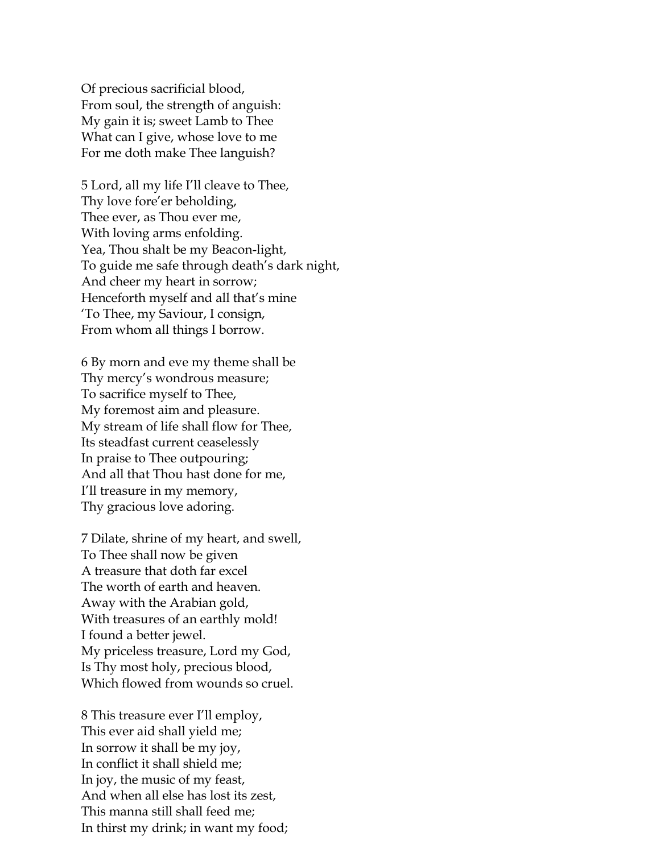Of precious sacrificial blood, From soul, the strength of anguish: My gain it is; sweet Lamb to Thee What can I give, whose love to me For me doth make Thee languish?

5 Lord, all my life I'll cleave to Thee, Thy love fore'er beholding, Thee ever, as Thou ever me, With loving arms enfolding. Yea, Thou shalt be my Beacon-light, To guide me safe through death's dark night, And cheer my heart in sorrow; Henceforth myself and all that's mine 'To Thee, my Saviour, I consign, From whom all things I borrow.

6 By morn and eve my theme shall be Thy mercy's wondrous measure; To sacrifice myself to Thee, My foremost aim and pleasure. My stream of life shall flow for Thee, Its steadfast current ceaselessly In praise to Thee outpouring; And all that Thou hast done for me, I'll treasure in my memory, Thy gracious love adoring.

7 Dilate, shrine of my heart, and swell, To Thee shall now be given A treasure that doth far excel The worth of earth and heaven. Away with the Arabian gold, With treasures of an earthly mold! I found a better jewel. My priceless treasure, Lord my God, Is Thy most holy, precious blood, Which flowed from wounds so cruel.

8 This treasure ever I'll employ, This ever aid shall yield me; In sorrow it shall be my joy, In conflict it shall shield me; In joy, the music of my feast, And when all else has lost its zest, This manna still shall feed me; In thirst my drink; in want my food;